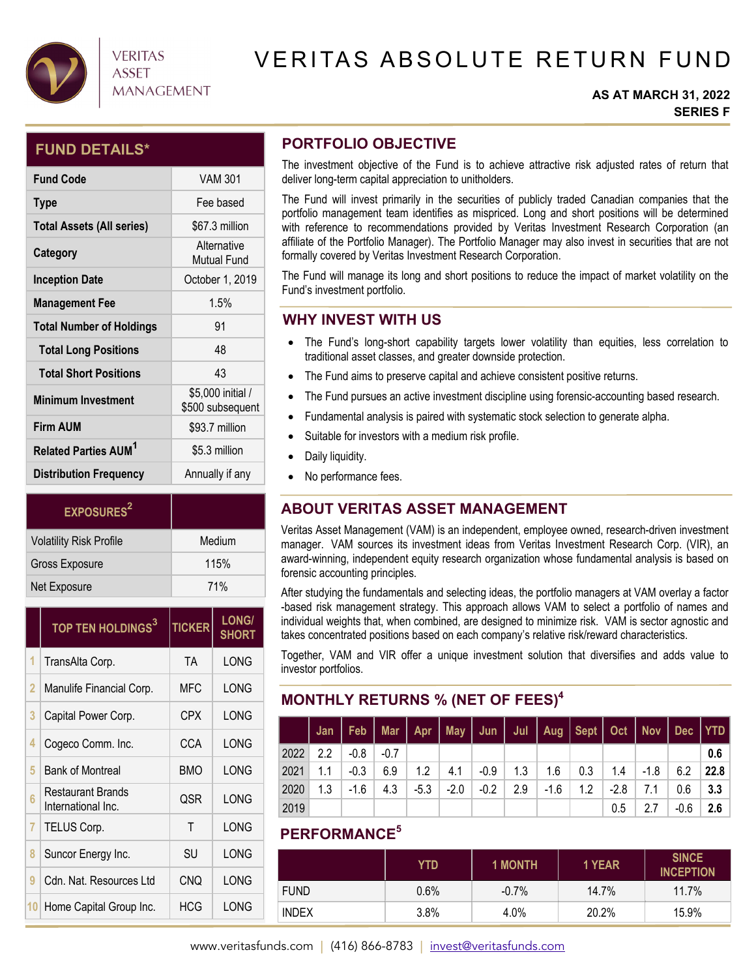

## **VERITAS** ASSET **MANAGEMENT**

# VERITAS ABSOLUTE RETURN FUND

#### **AS AT MARCH 31, 2022 SERIES F**

### **FUND DETAILS\***

| <b>Fund Code</b>                       | VAM 301                               |
|----------------------------------------|---------------------------------------|
| <b>Type</b>                            | Fee based                             |
| <b>Total Assets (All series)</b>       | \$67.3 million                        |
| Category                               | Alternative<br><b>Mutual Fund</b>     |
| <b>Inception Date</b>                  | October 1, 2019                       |
| <b>Management Fee</b>                  | 1.5%                                  |
| <b>Total Number of Holdings</b>        | 91                                    |
| <b>Total Long Positions</b>            | 48                                    |
| <b>Total Short Positions</b>           | 43                                    |
| <b>Minimum Investment</b>              | \$5,000 initial /<br>\$500 subsequent |
| <b>Firm AUM</b>                        | \$93.7 million                        |
| <b>Related Parties AUM<sup>1</sup></b> | \$5.3 million                         |
| <b>Distribution Frequency</b>          | Annually if any                       |

| <b>EXPOSURES</b> <sup>2</sup>  |            |
|--------------------------------|------------|
| <b>Volatility Risk Profile</b> | Medium     |
| Gross Exposure                 | 115%       |
| Net Exposure                   | <b>71%</b> |

|    | TOP TEN HOLDINGS <sup>3</sup>           | <b>TICKER</b> | <b>LONG/</b><br><b>SHORT</b> |  |
|----|-----------------------------------------|---------------|------------------------------|--|
| 1  | TransAlta Corp.                         | <b>TA</b>     | LONG                         |  |
| 2  | Manulife Financial Corp.                | <b>MFC</b>    | LONG                         |  |
| 3  | Capital Power Corp.                     | CPX           | LONG                         |  |
| 4  | Cogeco Comm. Inc.                       | CCA           | LONG                         |  |
| 5  | <b>Bank of Montreal</b>                 | <b>BMO</b>    | LONG                         |  |
| 6  | Restaurant Brands<br>International Inc. | QSR           | LONG                         |  |
| 7  | TELUS Corp.                             | Т             | LONG                         |  |
| 8  | Suncor Energy Inc.                      | SU            | LONG                         |  |
| 9  | Cdn. Nat. Resources Ltd                 | CNO           | LONG                         |  |
| 10 | Home Capital Group Inc.                 | HCG           | LONG                         |  |

## **PORTFOLIO OBJECTIVE**

The investment objective of the Fund is to achieve attractive risk adjusted rates of return that deliver long-term capital appreciation to unitholders.

The Fund will invest primarily in the securities of publicly traded Canadian companies that the portfolio management team identifies as mispriced. Long and short positions will be determined with reference to recommendations provided by Veritas Investment Research Corporation (an affiliate of the Portfolio Manager). The Portfolio Manager may also invest in securities that are not formally covered by Veritas Investment Research Corporation.

The Fund will manage its long and short positions to reduce the impact of market volatility on the Fund's investment portfolio.

### **WHY INVEST WITH US**

- The Fund's long-short capability targets lower volatility than equities, less correlation to traditional asset classes, and greater downside protection.
- The Fund aims to preserve capital and achieve consistent positive returns.
- The Fund pursues an active investment discipline using forensic-accounting based research.
- Fundamental analysis is paired with systematic stock selection to generate alpha.
- Suitable for investors with a medium risk profile.
- Daily liquidity.
- No performance fees.

## **ABOUT VERITAS ASSET MANAGEMENT**

Veritas Asset Management (VAM) is an independent, employee owned, research-driven investment manager. VAM sources its investment ideas from Veritas Investment Research Corp. (VIR), an award-winning, independent equity research organization whose fundamental analysis is based on forensic accounting principles.

After studying the fundamentals and selecting ideas, the portfolio managers at VAM overlay a factor -based risk management strategy. This approach allows VAM to select a portfolio of names and individual weights that, when combined, are designed to minimize risk. VAM is sector agnostic and takes concentrated positions based on each company's relative risk/reward characteristics.

Together, VAM and VIR offer a unique investment solution that diversifies and adds value to investor portfolios.

## **MONTHLY RETURNS % (NET OF FEES)4**

|      |     |               |     |        |        |        |     |              | Jan   Feb   Mar   Apr   May   Jun   Jul   Aug   Sept   Oct   Nov   Dec   YTD |      |     |      |      |
|------|-----|---------------|-----|--------|--------|--------|-----|--------------|------------------------------------------------------------------------------|------|-----|------|------|
| 2022 | 2.2 | $-0.8$ $-0.7$ |     |        |        |        |     |              |                                                                              |      |     |      | 0.6  |
| 2021 | 1.1 | -0.3          | 6.9 | 1.2    | 4.1    |        |     |              | $-0.9$   1.3   1.6   0.3   1.4   -1.8                                        |      |     | 6.2  | 22.8 |
| 2020 | 1.3 | -1.6          | 4.3 | $-5.3$ | $-2.0$ | $-0.2$ | 2.9 | $\vert$ -1.6 | 1.2                                                                          | -2.8 | 7.1 | 0.6  | -3.3 |
| 2019 |     |               |     |        |        |        |     |              |                                                                              | 0.5  | 2.7 | -0.6 | 2.6  |

## **PERFORMANCE5**

|              | YTD.    | <b>1 MONTH</b> | 1 YEAR | <b>SINCE</b><br><b>INCEPTION</b> |
|--------------|---------|----------------|--------|----------------------------------|
| <b>FUND</b>  | $0.6\%$ | $-0.7\%$       | 14.7%  | 11.7%                            |
| <b>INDEX</b> | 3.8%    | 4.0%           | 20.2%  | 15.9%                            |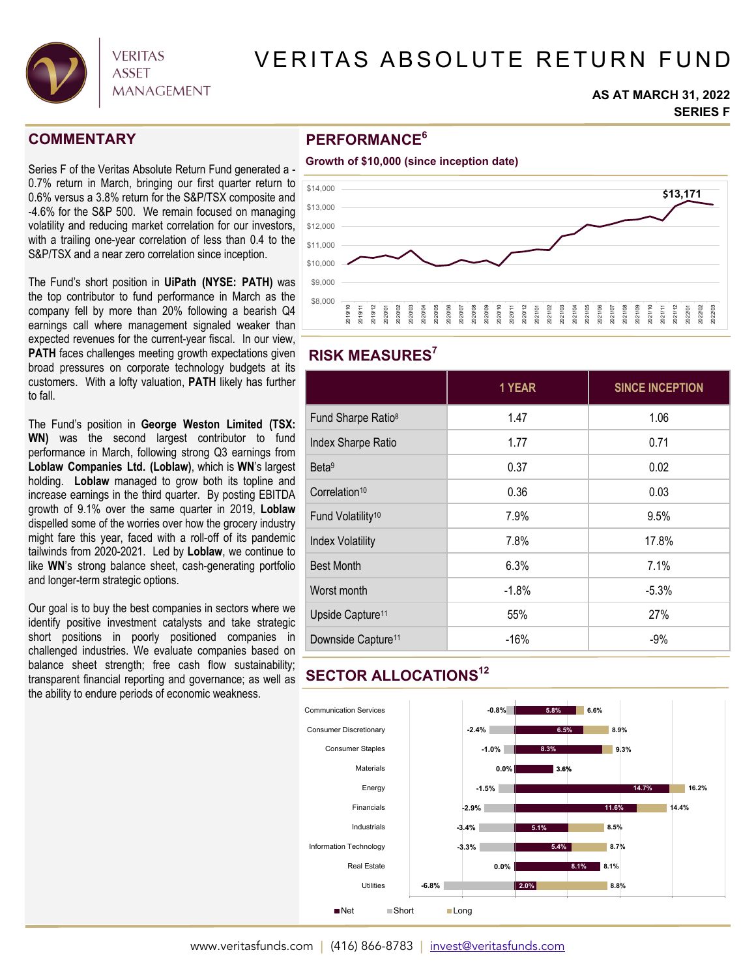

# VERITAS ABSOLUTE RETURN FUND

#### **AS AT MARCH 31, 2022 SERIES F**

### **COMMENTARY**

Series F of the Veritas Absolute Return Fund generated a - 0.7% return in March, bringing our first quarter return to 0.6% versus a 3.8% return for the S&P/TSX composite and -4.6% for the S&P 500. We remain focused on managing volatility and reducing market correlation for our investors, with a trailing one-year correlation of less than 0.4 to the S&P/TSX and a near zero correlation since inception.

The Fund's short position in **UiPath (NYSE: PATH)** was the top contributor to fund performance in March as the company fell by more than 20% following a bearish Q4 earnings call where management signaled weaker than expected revenues for the current-year fiscal. In our view, **PATH** faces challenges meeting growth expectations given broad pressures on corporate technology budgets at its customers. With a lofty valuation, **PATH** likely has further to fall.

The Fund's position in **George Weston Limited (TSX: WN)** was the second largest contributor to fund performance in March, following strong Q3 earnings from **Loblaw Companies Ltd. (Loblaw)**, which is **WN**'s largest holding. **Loblaw** managed to grow both its topline and increase earnings in the third quarter. By posting EBITDA growth of 9.1% over the same quarter in 2019, **Loblaw** dispelled some of the worries over how the grocery industry might fare this year, faced with a roll-off of its pandemic tailwinds from 2020-2021. Led by **Loblaw**, we continue to like **WN**'s strong balance sheet, cash-generating portfolio and longer-term strategic options.

Our goal is to buy the best companies in sectors where we identify positive investment catalysts and take strategic short positions in poorly positioned companies in challenged industries. We evaluate companies based on balance sheet strength; free cash flow sustainability; transparent financial reporting and governance; as well as the ability to endure periods of economic weakness.

## **PERFORMANCE6**





### **RISK MEASURES7**

|                                | 1 YEAR  | <b>SINCE INCEPTION</b> |
|--------------------------------|---------|------------------------|
| Fund Sharpe Ratio <sup>8</sup> | 1.47    | 1.06                   |
| Index Sharpe Ratio             | 1.77    | 0.71                   |
| Beta <sup>9</sup>              | 0.37    | 0.02                   |
| Correlation <sup>10</sup>      | 0.36    | 0.03                   |
| Fund Volatility <sup>10</sup>  | 7.9%    | 9.5%                   |
| <b>Index Volatility</b>        | 7.8%    | 17.8%                  |
| <b>Best Month</b>              | 6.3%    | 7.1%                   |
| Worst month                    | $-1.8%$ | $-5.3%$                |
| Upside Capture <sup>11</sup>   | 55%     | 27%                    |
| Downside Capture <sup>11</sup> | $-16%$  | $-9%$                  |

### **SECTOR ALLOCATIONS12**